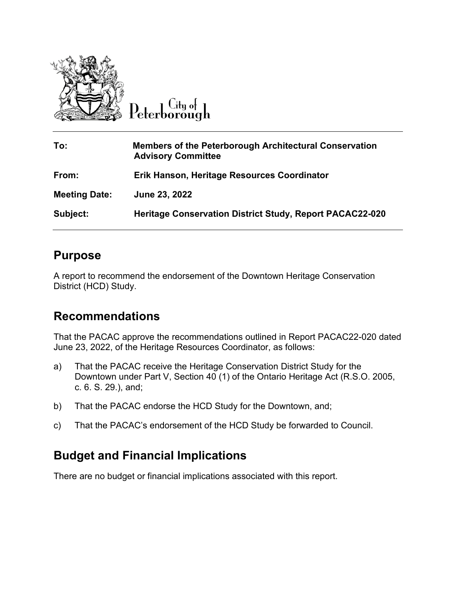

 $\overline{C}$ ity of Peterborough

| To:                  | <b>Members of the Peterborough Architectural Conservation</b><br><b>Advisory Committee</b> |
|----------------------|--------------------------------------------------------------------------------------------|
| From:                | Erik Hanson, Heritage Resources Coordinator                                                |
| <b>Meeting Date:</b> | June 23, 2022                                                                              |
| Subject:             | <b>Heritage Conservation District Study, Report PACAC22-020</b>                            |

### **Purpose**

A report to recommend the endorsement of the Downtown Heritage Conservation District (HCD) Study.

## **Recommendations**

That the PACAC approve the recommendations outlined in Report PACAC22-020 dated June 23, 2022, of the Heritage Resources Coordinator, as follows:

- a) That the PACAC receive the Heritage Conservation District Study for the Downtown under Part V, Section 40 (1) of the Ontario Heritage Act (R.S.O. 2005, c. 6. S. 29.), and;
- b) That the PACAC endorse the HCD Study for the Downtown, and;
- c) That the PACAC's endorsement of the HCD Study be forwarded to Council.

# **Budget and Financial Implications**

There are no budget or financial implications associated with this report.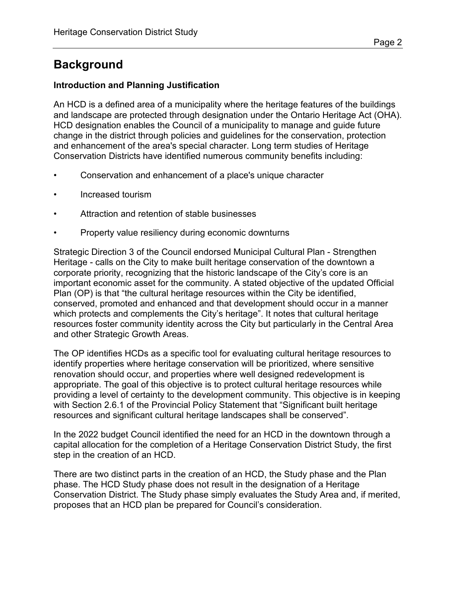# **Background**

#### **Introduction and Planning Justification**

An HCD is a defined area of a municipality where the heritage features of the buildings and landscape are protected through designation under the Ontario Heritage Act (OHA). HCD designation enables the Council of a municipality to manage and guide future change in the district through policies and guidelines for the conservation, protection and enhancement of the area's special character. Long term studies of Heritage Conservation Districts have identified numerous community benefits including:

- Conservation and enhancement of a place's unique character
- Increased tourism
- Attraction and retention of stable businesses
- Property value resiliency during economic downturns

Strategic Direction 3 of the Council endorsed Municipal Cultural Plan - Strengthen Heritage - calls on the City to make built heritage conservation of the downtown a corporate priority, recognizing that the historic landscape of the City's core is an important economic asset for the community. A stated objective of the updated Official Plan (OP) is that "the cultural heritage resources within the City be identified, conserved, promoted and enhanced and that development should occur in a manner which protects and complements the City's heritage". It notes that cultural heritage resources foster community identity across the City but particularly in the Central Area and other Strategic Growth Areas.

The OP identifies HCDs as a specific tool for evaluating cultural heritage resources to identify properties where heritage conservation will be prioritized, where sensitive renovation should occur, and properties where well designed redevelopment is appropriate. The goal of this objective is to protect cultural heritage resources while providing a level of certainty to the development community. This objective is in keeping with Section 2.6.1 of the Provincial Policy Statement that "Significant built heritage resources and significant cultural heritage landscapes shall be conserved".

In the 2022 budget Council identified the need for an HCD in the downtown through a capital allocation for the completion of a Heritage Conservation District Study, the first step in the creation of an HCD.

There are two distinct parts in the creation of an HCD, the Study phase and the Plan phase. The HCD Study phase does not result in the designation of a Heritage Conservation District. The Study phase simply evaluates the Study Area and, if merited, proposes that an HCD plan be prepared for Council's consideration.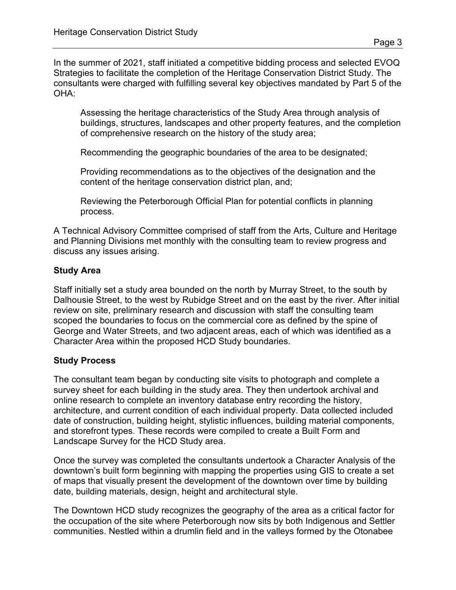In the summer of 2021, staff initiated a competitive bidding process and selected EVOQ Strategies to facilitate the completion of the Heritage Conservation District Study. The consultants were charged with fulfilling several key objectives mandated by Part 5 of the OHA:

Assessing the heritage characteristics of the Study Area through analysis of buildings, structures, landscapes and other property features, and the completion of comprehensive research on the history of the study area;

Recommending the geographic boundaries of the area to be designated;

Providing recommendations as to the objectives of the designation and the content of the heritage conservation district plan, and;

Reviewing the Peterborough Official Plan for potential conflicts in planning process.

A Technical Advisory Committee comprised of staff from the Arts, Culture and Heritage and Planning Divisions met monthly with the consulting team to review progress and discuss any issues arising.

### **Study Area**

Staff initially set a study area bounded on the north by Murray Street, to the south by Dalhousie Street, to the west by Rubidge Street and on the east by the river. After initial review on site, preliminary research and discussion with staff the consulting team scoped the boundaries to focus on the commercial core as defined by the spine of George and Water Streets, and two adjacent areas, each of which was identified as a Character Area within the proposed HCD Study boundaries.

#### **Study Process**

The consultant team began by conducting site visits to photograph and complete a survey sheet for each building in the study area. They then undertook archival and online research to complete an inventory database entry recording the history, architecture, and current condition of each individual property. Data collected included date of construction, building height, stylistic influences, building material components, and storefront types. These records were compiled to create a Built Form and Landscape Survey for the HCD Study area.

Once the survey was completed the consultants undertook a Character Analysis of the downtown's built form beginning with mapping the properties using GIS to create a set of maps that visually present the development of the downtown over time by building date, building materials, design, height and architectural style.

The Downtown HCD study recognizes the geography of the area as a critical factor for the occupation of the site where Peterborough now sits by both Indigenous and Settler communities. Nestled within a drumlin field and in the valleys formed by the Otonabee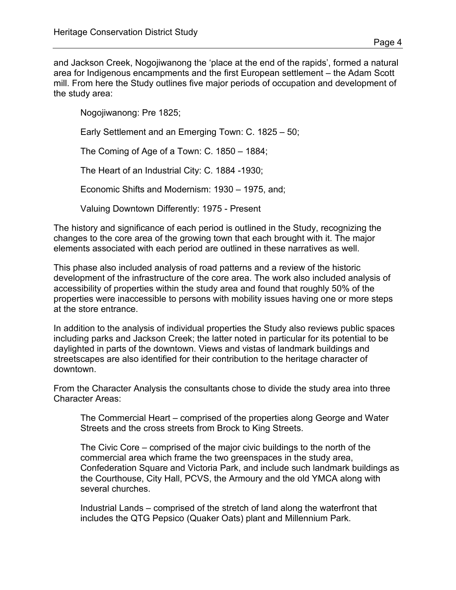and Jackson Creek, Nogojiwanong the 'place at the end of the rapids', formed a natural area for Indigenous encampments and the first European settlement – the Adam Scott mill. From here the Study outlines five major periods of occupation and development of the study area:

Nogojiwanong: Pre 1825;

Early Settlement and an Emerging Town: C. 1825 – 50;

The Coming of Age of a Town: C. 1850 – 1884;

The Heart of an Industrial City: C. 1884 -1930;

Economic Shifts and Modernism: 1930 – 1975, and;

Valuing Downtown Differently: 1975 - Present

The history and significance of each period is outlined in the Study, recognizing the changes to the core area of the growing town that each brought with it. The major elements associated with each period are outlined in these narratives as well.

This phase also included analysis of road patterns and a review of the historic development of the infrastructure of the core area. The work also included analysis of accessibility of properties within the study area and found that roughly 50% of the properties were inaccessible to persons with mobility issues having one or more steps at the store entrance.

In addition to the analysis of individual properties the Study also reviews public spaces including parks and Jackson Creek; the latter noted in particular for its potential to be daylighted in parts of the downtown. Views and vistas of landmark buildings and streetscapes are also identified for their contribution to the heritage character of downtown.

From the Character Analysis the consultants chose to divide the study area into three Character Areas:

The Commercial Heart – comprised of the properties along George and Water Streets and the cross streets from Brock to King Streets.

The Civic Core – comprised of the major civic buildings to the north of the commercial area which frame the two greenspaces in the study area, Confederation Square and Victoria Park, and include such landmark buildings as the Courthouse, City Hall, PCVS, the Armoury and the old YMCA along with several churches.

Industrial Lands – comprised of the stretch of land along the waterfront that includes the QTG Pepsico (Quaker Oats) plant and Millennium Park.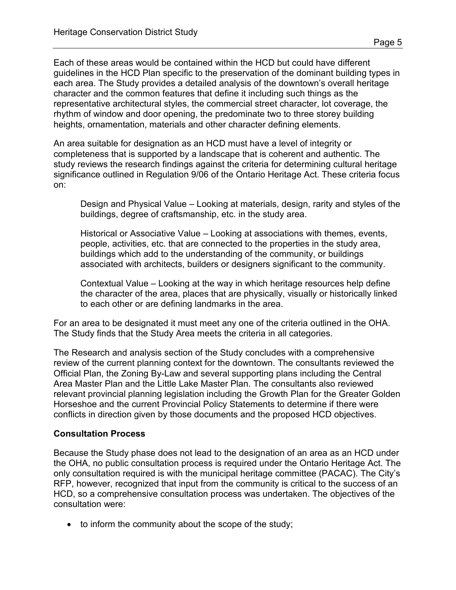Each of these areas would be contained within the HCD but could have different guidelines in the HCD Plan specific to the preservation of the dominant building types in each area. The Study provides a detailed analysis of the downtown's overall heritage character and the common features that define it including such things as the representative architectural styles, the commercial street character, lot coverage, the rhythm of window and door opening, the predominate two to three storey building heights, ornamentation, materials and other character defining elements.

An area suitable for designation as an HCD must have a level of integrity or completeness that is supported by a landscape that is coherent and authentic. The study reviews the research findings against the criteria for determining cultural heritage significance outlined in Regulation 9/06 of the Ontario Heritage Act. These criteria focus on:

Design and Physical Value – Looking at materials, design, rarity and styles of the buildings, degree of craftsmanship, etc. in the study area.

Historical or Associative Value – Looking at associations with themes, events, people, activities, etc. that are connected to the properties in the study area, buildings which add to the understanding of the community, or buildings associated with architects, builders or designers significant to the community.

Contextual Value – Looking at the way in which heritage resources help define the character of the area, places that are physically, visually or historically linked to each other or are defining landmarks in the area.

For an area to be designated it must meet any one of the criteria outlined in the OHA. The Study finds that the Study Area meets the criteria in all categories.

The Research and analysis section of the Study concludes with a comprehensive review of the current planning context for the downtown. The consultants reviewed the Official Plan, the Zoning By-Law and several supporting plans including the Central Area Master Plan and the Little Lake Master Plan. The consultants also reviewed relevant provincial planning legislation including the Growth Plan for the Greater Golden Horseshoe and the current Provincial Policy Statements to determine if there were conflicts in direction given by those documents and the proposed HCD objectives.

#### **Consultation Process**

Because the Study phase does not lead to the designation of an area as an HCD under the OHA, no public consultation process is required under the Ontario Heritage Act. The only consultation required is with the municipal heritage committee (PACAC). The City's RFP, however, recognized that input from the community is critical to the success of an HCD, so a comprehensive consultation process was undertaken. The objectives of the consultation were:

• to inform the community about the scope of the study;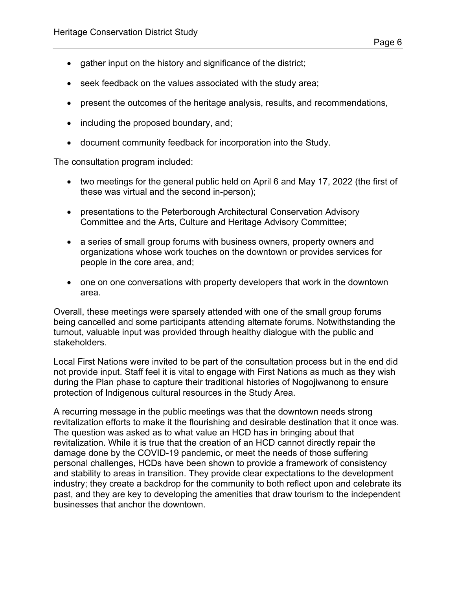- gather input on the history and significance of the district;
- seek feedback on the values associated with the study area;
- present the outcomes of the heritage analysis, results, and recommendations,
- including the proposed boundary, and;
- document community feedback for incorporation into the Study.

The consultation program included:

- two meetings for the general public held on April 6 and May 17, 2022 (the first of these was virtual and the second in-person);
- presentations to the Peterborough Architectural Conservation Advisory Committee and the Arts, Culture and Heritage Advisory Committee;
- a series of small group forums with business owners, property owners and organizations whose work touches on the downtown or provides services for people in the core area, and;
- one on one conversations with property developers that work in the downtown area.

Overall, these meetings were sparsely attended with one of the small group forums being cancelled and some participants attending alternate forums. Notwithstanding the turnout, valuable input was provided through healthy dialogue with the public and stakeholders.

Local First Nations were invited to be part of the consultation process but in the end did not provide input. Staff feel it is vital to engage with First Nations as much as they wish during the Plan phase to capture their traditional histories of Nogojiwanong to ensure protection of Indigenous cultural resources in the Study Area.

A recurring message in the public meetings was that the downtown needs strong revitalization efforts to make it the flourishing and desirable destination that it once was. The question was asked as to what value an HCD has in bringing about that revitalization. While it is true that the creation of an HCD cannot directly repair the damage done by the COVID-19 pandemic, or meet the needs of those suffering personal challenges, HCDs have been shown to provide a framework of consistency and stability to areas in transition. They provide clear expectations to the development industry; they create a backdrop for the community to both reflect upon and celebrate its past, and they are key to developing the amenities that draw tourism to the independent businesses that anchor the downtown.